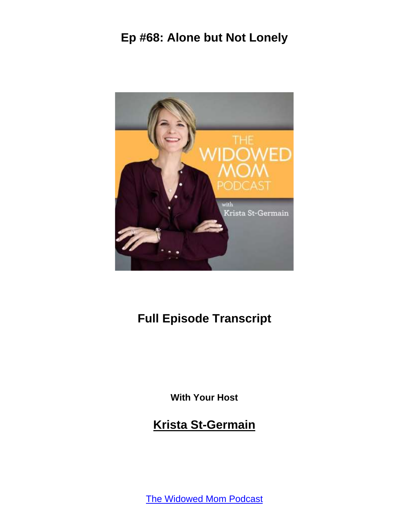

# **Full Episode Transcript**

**With Your Host**

**Krista St-Germain**

[The Widowed Mom Podcast](https://coachingwithkrista.com/podcast)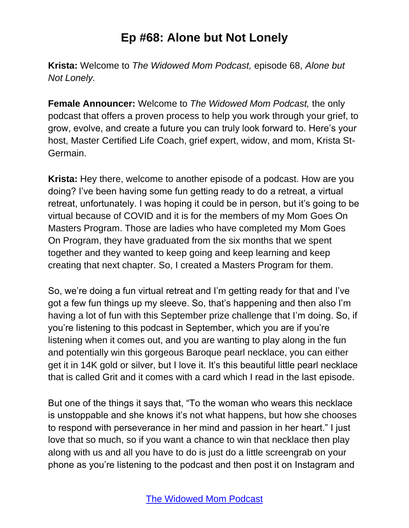**Krista:** Welcome to *The Widowed Mom Podcast,* episode 68, *Alone but Not Lonely.*

**Female Announcer:** Welcome to *The Widowed Mom Podcast,* the only podcast that offers a proven process to help you work through your grief, to grow, evolve, and create a future you can truly look forward to. Here's your host, Master Certified Life Coach, grief expert, widow, and mom, Krista St-Germain.

**Krista:** Hey there, welcome to another episode of a podcast. How are you doing? I've been having some fun getting ready to do a retreat, a virtual retreat, unfortunately. I was hoping it could be in person, but it's going to be virtual because of COVID and it is for the members of my Mom Goes On Masters Program. Those are ladies who have completed my Mom Goes On Program, they have graduated from the six months that we spent together and they wanted to keep going and keep learning and keep creating that next chapter. So, I created a Masters Program for them.

So, we're doing a fun virtual retreat and I'm getting ready for that and I've got a few fun things up my sleeve. So, that's happening and then also I'm having a lot of fun with this September prize challenge that I'm doing. So, if you're listening to this podcast in September, which you are if you're listening when it comes out, and you are wanting to play along in the fun and potentially win this gorgeous Baroque pearl necklace, you can either get it in 14K gold or silver, but I love it. It's this beautiful little pearl necklace that is called Grit and it comes with a card which I read in the last episode.

But one of the things it says that, "To the woman who wears this necklace is unstoppable and she knows it's not what happens, but how she chooses to respond with perseverance in her mind and passion in her heart." I just love that so much, so if you want a chance to win that necklace then play along with us and all you have to do is just do a little screengrab on your phone as you're listening to the podcast and then post it on Instagram and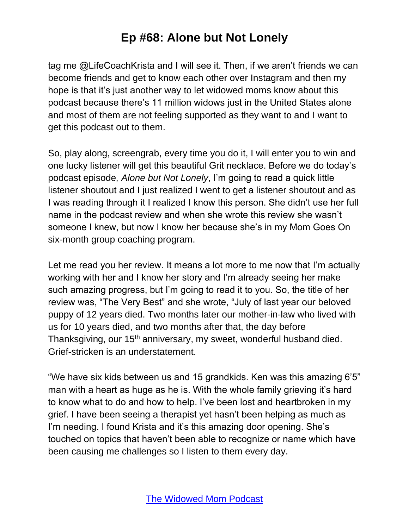tag me @LifeCoachKrista and I will see it. Then, if we aren't friends we can become friends and get to know each other over Instagram and then my hope is that it's just another way to let widowed moms know about this podcast because there's 11 million widows just in the United States alone and most of them are not feeling supported as they want to and I want to get this podcast out to them.

So, play along, screengrab, every time you do it, I will enter you to win and one lucky listener will get this beautiful Grit necklace. Before we do today's podcast episode*, Alone but Not Lonely*, I'm going to read a quick little listener shoutout and I just realized I went to get a listener shoutout and as I was reading through it I realized I know this person. She didn't use her full name in the podcast review and when she wrote this review she wasn't someone I knew, but now I know her because she's in my Mom Goes On six-month group coaching program.

Let me read you her review. It means a lot more to me now that I'm actually working with her and I know her story and I'm already seeing her make such amazing progress, but I'm going to read it to you. So, the title of her review was, "The Very Best" and she wrote, "July of last year our beloved puppy of 12 years died. Two months later our mother-in-law who lived with us for 10 years died, and two months after that, the day before Thanksgiving, our 15<sup>th</sup> anniversary, my sweet, wonderful husband died. Grief-stricken is an understatement.

"We have six kids between us and 15 grandkids. Ken was this amazing 6'5" man with a heart as huge as he is. With the whole family grieving it's hard to know what to do and how to help. I've been lost and heartbroken in my grief. I have been seeing a therapist yet hasn't been helping as much as I'm needing. I found Krista and it's this amazing door opening. She's touched on topics that haven't been able to recognize or name which have been causing me challenges so I listen to them every day.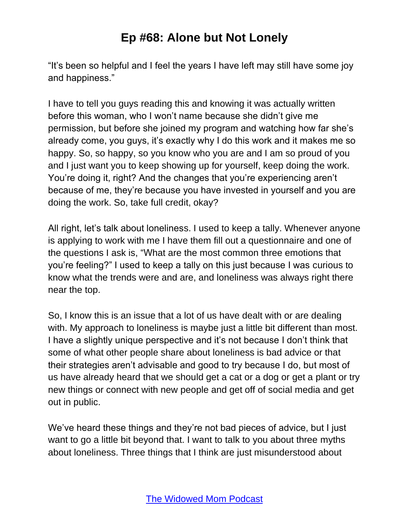"It's been so helpful and I feel the years I have left may still have some joy and happiness."

I have to tell you guys reading this and knowing it was actually written before this woman, who I won't name because she didn't give me permission, but before she joined my program and watching how far she's already come, you guys, it's exactly why I do this work and it makes me so happy. So, so happy, so you know who you are and I am so proud of you and I just want you to keep showing up for yourself, keep doing the work. You're doing it, right? And the changes that you're experiencing aren't because of me, they're because you have invested in yourself and you are doing the work. So, take full credit, okay?

All right, let's talk about loneliness. I used to keep a tally. Whenever anyone is applying to work with me I have them fill out a questionnaire and one of the questions I ask is, "What are the most common three emotions that you're feeling?" I used to keep a tally on this just because I was curious to know what the trends were and are, and loneliness was always right there near the top.

So, I know this is an issue that a lot of us have dealt with or are dealing with. My approach to loneliness is maybe just a little bit different than most. I have a slightly unique perspective and it's not because I don't think that some of what other people share about loneliness is bad advice or that their strategies aren't advisable and good to try because I do, but most of us have already heard that we should get a cat or a dog or get a plant or try new things or connect with new people and get off of social media and get out in public.

We've heard these things and they're not bad pieces of advice, but I just want to go a little bit beyond that. I want to talk to you about three myths about loneliness. Three things that I think are just misunderstood about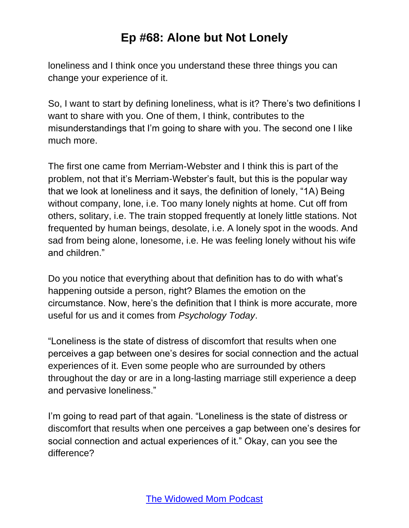loneliness and I think once you understand these three things you can change your experience of it.

So, I want to start by defining loneliness, what is it? There's two definitions I want to share with you. One of them, I think, contributes to the misunderstandings that I'm going to share with you. The second one I like much more.

The first one came from Merriam-Webster and I think this is part of the problem, not that it's Merriam-Webster's fault, but this is the popular way that we look at loneliness and it says, the definition of lonely, "1A) Being without company, lone, i.e. Too many lonely nights at home. Cut off from others, solitary, i.e. The train stopped frequently at lonely little stations. Not frequented by human beings, desolate, i.e. A lonely spot in the woods. And sad from being alone, lonesome, i.e. He was feeling lonely without his wife and children."

Do you notice that everything about that definition has to do with what's happening outside a person, right? Blames the emotion on the circumstance. Now, here's the definition that I think is more accurate, more useful for us and it comes from *Psychology Today*.

"Loneliness is the state of distress of discomfort that results when one perceives a gap between one's desires for social connection and the actual experiences of it. Even some people who are surrounded by others throughout the day or are in a long-lasting marriage still experience a deep and pervasive loneliness."

I'm going to read part of that again. "Loneliness is the state of distress or discomfort that results when one perceives a gap between one's desires for social connection and actual experiences of it." Okay, can you see the difference?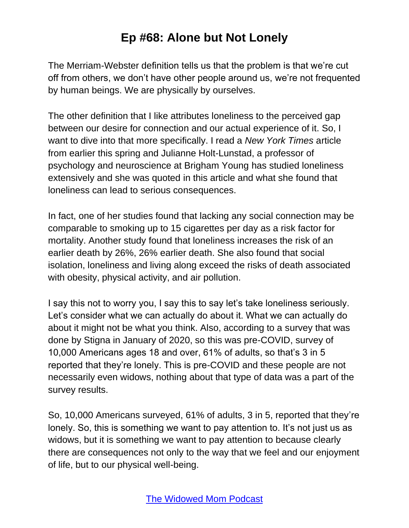The Merriam-Webster definition tells us that the problem is that we're cut off from others, we don't have other people around us, we're not frequented by human beings. We are physically by ourselves.

The other definition that I like attributes loneliness to the perceived gap between our desire for connection and our actual experience of it. So, I want to dive into that more specifically. I read a *New York Times* article from earlier this spring and Julianne Holt-Lunstad, a professor of psychology and neuroscience at Brigham Young has studied loneliness extensively and she was quoted in this article and what she found that loneliness can lead to serious consequences.

In fact, one of her studies found that lacking any social connection may be comparable to smoking up to 15 cigarettes per day as a risk factor for mortality. Another study found that loneliness increases the risk of an earlier death by 26%, 26% earlier death. She also found that social isolation, loneliness and living along exceed the risks of death associated with obesity, physical activity, and air pollution.

I say this not to worry you, I say this to say let's take loneliness seriously. Let's consider what we can actually do about it. What we can actually do about it might not be what you think. Also, according to a survey that was done by Stigna in January of 2020, so this was pre-COVID, survey of 10,000 Americans ages 18 and over, 61% of adults, so that's 3 in 5 reported that they're lonely. This is pre-COVID and these people are not necessarily even widows, nothing about that type of data was a part of the survey results.

So, 10,000 Americans surveyed, 61% of adults, 3 in 5, reported that they're lonely. So, this is something we want to pay attention to. It's not just us as widows, but it is something we want to pay attention to because clearly there are consequences not only to the way that we feel and our enjoyment of life, but to our physical well-being.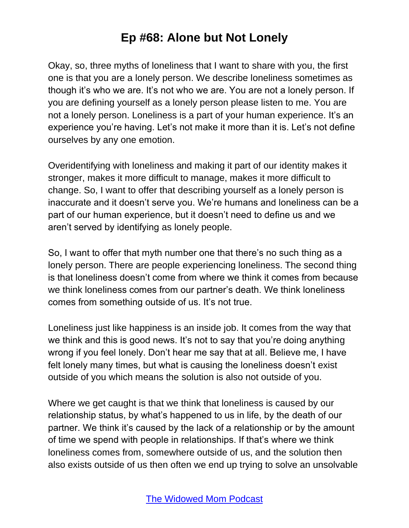Okay, so, three myths of loneliness that I want to share with you, the first one is that you are a lonely person. We describe loneliness sometimes as though it's who we are. It's not who we are. You are not a lonely person. If you are defining yourself as a lonely person please listen to me. You are not a lonely person. Loneliness is a part of your human experience. It's an experience you're having. Let's not make it more than it is. Let's not define ourselves by any one emotion.

Overidentifying with loneliness and making it part of our identity makes it stronger, makes it more difficult to manage, makes it more difficult to change. So, I want to offer that describing yourself as a lonely person is inaccurate and it doesn't serve you. We're humans and loneliness can be a part of our human experience, but it doesn't need to define us and we aren't served by identifying as lonely people.

So, I want to offer that myth number one that there's no such thing as a lonely person. There are people experiencing loneliness. The second thing is that loneliness doesn't come from where we think it comes from because we think loneliness comes from our partner's death. We think loneliness comes from something outside of us. It's not true.

Loneliness just like happiness is an inside job. It comes from the way that we think and this is good news. It's not to say that you're doing anything wrong if you feel lonely. Don't hear me say that at all. Believe me, I have felt lonely many times, but what is causing the loneliness doesn't exist outside of you which means the solution is also not outside of you.

Where we get caught is that we think that loneliness is caused by our relationship status, by what's happened to us in life, by the death of our partner. We think it's caused by the lack of a relationship or by the amount of time we spend with people in relationships. If that's where we think loneliness comes from, somewhere outside of us, and the solution then also exists outside of us then often we end up trying to solve an unsolvable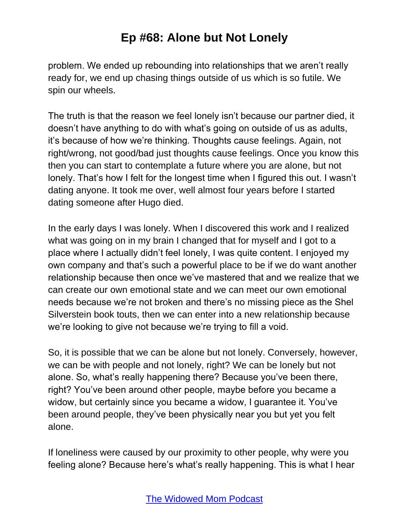problem. We ended up rebounding into relationships that we aren't really ready for, we end up chasing things outside of us which is so futile. We spin our wheels.

The truth is that the reason we feel lonely isn't because our partner died, it doesn't have anything to do with what's going on outside of us as adults, it's because of how we're thinking. Thoughts cause feelings. Again, not right/wrong, not good/bad just thoughts cause feelings. Once you know this then you can start to contemplate a future where you are alone, but not lonely. That's how I felt for the longest time when I figured this out. I wasn't dating anyone. It took me over, well almost four years before I started dating someone after Hugo died.

In the early days I was lonely. When I discovered this work and I realized what was going on in my brain I changed that for myself and I got to a place where I actually didn't feel lonely, I was quite content. I enjoyed my own company and that's such a powerful place to be if we do want another relationship because then once we've mastered that and we realize that we can create our own emotional state and we can meet our own emotional needs because we're not broken and there's no missing piece as the Shel Silverstein book touts, then we can enter into a new relationship because we're looking to give not because we're trying to fill a void.

So, it is possible that we can be alone but not lonely. Conversely, however, we can be with people and not lonely, right? We can be lonely but not alone. So, what's really happening there? Because you've been there, right? You've been around other people, maybe before you became a widow, but certainly since you became a widow, I guarantee it. You've been around people, they've been physically near you but yet you felt alone.

If loneliness were caused by our proximity to other people, why were you feeling alone? Because here's what's really happening. This is what I hear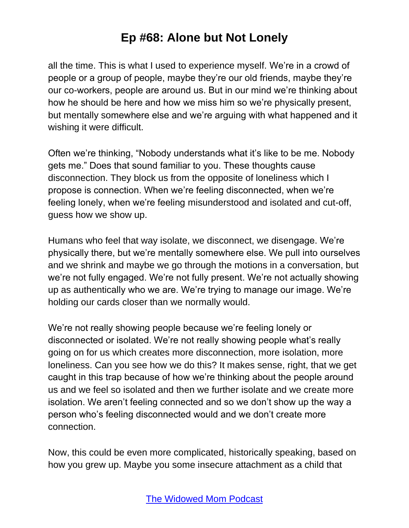all the time. This is what I used to experience myself. We're in a crowd of people or a group of people, maybe they're our old friends, maybe they're our co-workers, people are around us. But in our mind we're thinking about how he should be here and how we miss him so we're physically present, but mentally somewhere else and we're arguing with what happened and it wishing it were difficult.

Often we're thinking, "Nobody understands what it's like to be me. Nobody gets me." Does that sound familiar to you. These thoughts cause disconnection. They block us from the opposite of loneliness which I propose is connection. When we're feeling disconnected, when we're feeling lonely, when we're feeling misunderstood and isolated and cut-off, guess how we show up.

Humans who feel that way isolate, we disconnect, we disengage. We're physically there, but we're mentally somewhere else. We pull into ourselves and we shrink and maybe we go through the motions in a conversation, but we're not fully engaged. We're not fully present. We're not actually showing up as authentically who we are. We're trying to manage our image. We're holding our cards closer than we normally would.

We're not really showing people because we're feeling lonely or disconnected or isolated. We're not really showing people what's really going on for us which creates more disconnection, more isolation, more loneliness. Can you see how we do this? It makes sense, right, that we get caught in this trap because of how we're thinking about the people around us and we feel so isolated and then we further isolate and we create more isolation. We aren't feeling connected and so we don't show up the way a person who's feeling disconnected would and we don't create more connection.

Now, this could be even more complicated, historically speaking, based on how you grew up. Maybe you some insecure attachment as a child that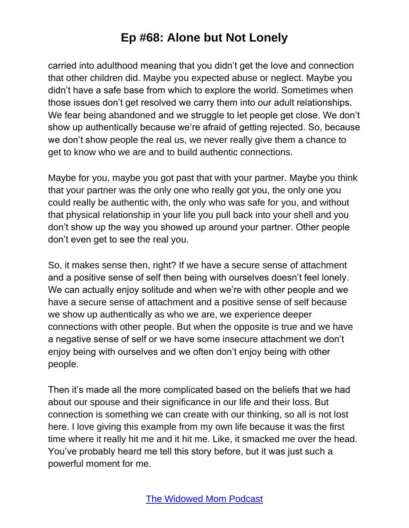carried into adulthood meaning that you didn't get the love and connection that other children did. Maybe you expected abuse or neglect. Maybe you didn't have a safe base from which to explore the world. Sometimes when those issues don't get resolved we carry them into our adult relationships. We fear being abandoned and we struggle to let people get close. We don't show up authentically because we're afraid of getting rejected. So, because we don't show people the real us, we never really give them a chance to get to know who we are and to build authentic connections.

Maybe for you, maybe you got past that with your partner. Maybe you think that your partner was the only one who really got you, the only one you could really be authentic with, the only who was safe for you, and without that physical relationship in your life you pull back into your shell and you don't show up the way you showed up around your partner. Other people don't even get to see the real you.

So, it makes sense then, right? If we have a secure sense of attachment and a positive sense of self then being with ourselves doesn't feel lonely. We can actually enjoy solitude and when we're with other people and we have a secure sense of attachment and a positive sense of self because we show up authentically as who we are, we experience deeper connections with other people. But when the opposite is true and we have a negative sense of self or we have some insecure attachment we don't enjoy being with ourselves and we often don't enjoy being with other people.

Then it's made all the more complicated based on the beliefs that we had about our spouse and their significance in our life and their loss. But connection is something we can create with our thinking, so all is not lost here. I love giving this example from my own life because it was the first time where it really hit me and it hit me. Like, it smacked me over the head. You've probably heard me tell this story before, but it was just such a powerful moment for me.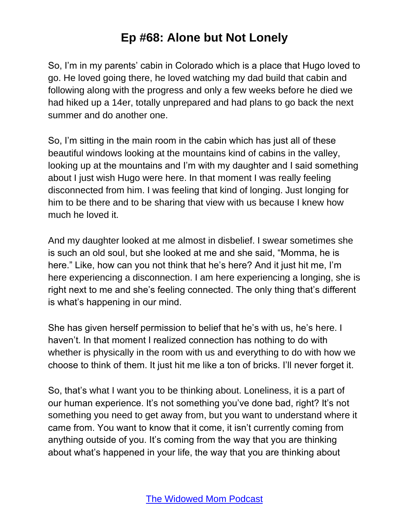So, I'm in my parents' cabin in Colorado which is a place that Hugo loved to go. He loved going there, he loved watching my dad build that cabin and following along with the progress and only a few weeks before he died we had hiked up a 14er, totally unprepared and had plans to go back the next summer and do another one.

So, I'm sitting in the main room in the cabin which has just all of these beautiful windows looking at the mountains kind of cabins in the valley, looking up at the mountains and I'm with my daughter and I said something about I just wish Hugo were here. In that moment I was really feeling disconnected from him. I was feeling that kind of longing. Just longing for him to be there and to be sharing that view with us because I knew how much he loved it.

And my daughter looked at me almost in disbelief. I swear sometimes she is such an old soul, but she looked at me and she said, "Momma, he is here." Like, how can you not think that he's here? And it just hit me, I'm here experiencing a disconnection. I am here experiencing a longing, she is right next to me and she's feeling connected. The only thing that's different is what's happening in our mind.

She has given herself permission to belief that he's with us, he's here. I haven't. In that moment I realized connection has nothing to do with whether is physically in the room with us and everything to do with how we choose to think of them. It just hit me like a ton of bricks. I'll never forget it.

So, that's what I want you to be thinking about. Loneliness, it is a part of our human experience. It's not something you've done bad, right? It's not something you need to get away from, but you want to understand where it came from. You want to know that it come, it isn't currently coming from anything outside of you. It's coming from the way that you are thinking about what's happened in your life, the way that you are thinking about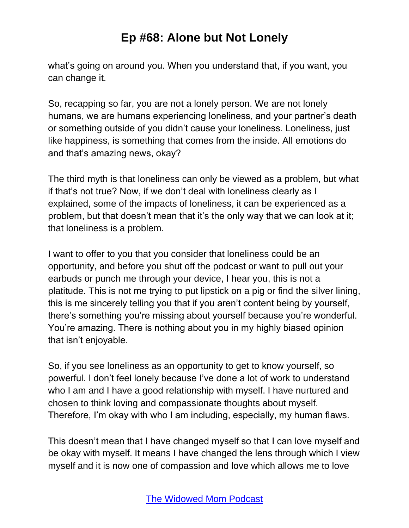what's going on around you. When you understand that, if you want, you can change it.

So, recapping so far, you are not a lonely person. We are not lonely humans, we are humans experiencing loneliness, and your partner's death or something outside of you didn't cause your loneliness. Loneliness, just like happiness, is something that comes from the inside. All emotions do and that's amazing news, okay?

The third myth is that loneliness can only be viewed as a problem, but what if that's not true? Now, if we don't deal with loneliness clearly as I explained, some of the impacts of loneliness, it can be experienced as a problem, but that doesn't mean that it's the only way that we can look at it; that loneliness is a problem.

I want to offer to you that you consider that loneliness could be an opportunity, and before you shut off the podcast or want to pull out your earbuds or punch me through your device, I hear you, this is not a platitude. This is not me trying to put lipstick on a pig or find the silver lining, this is me sincerely telling you that if you aren't content being by yourself, there's something you're missing about yourself because you're wonderful. You're amazing. There is nothing about you in my highly biased opinion that isn't enjoyable.

So, if you see loneliness as an opportunity to get to know yourself, so powerful. I don't feel lonely because I've done a lot of work to understand who I am and I have a good relationship with myself. I have nurtured and chosen to think loving and compassionate thoughts about myself. Therefore, I'm okay with who I am including, especially, my human flaws.

This doesn't mean that I have changed myself so that I can love myself and be okay with myself. It means I have changed the lens through which I view myself and it is now one of compassion and love which allows me to love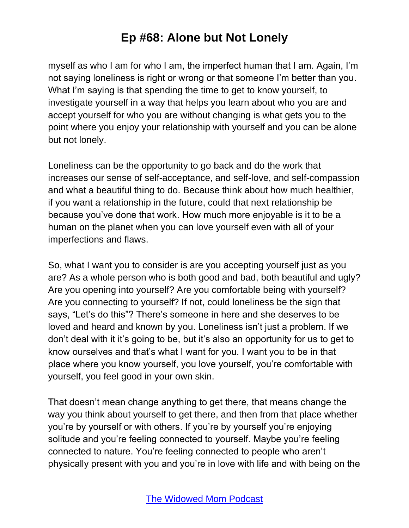myself as who I am for who I am, the imperfect human that I am. Again, I'm not saying loneliness is right or wrong or that someone I'm better than you. What I'm saying is that spending the time to get to know yourself, to investigate yourself in a way that helps you learn about who you are and accept yourself for who you are without changing is what gets you to the point where you enjoy your relationship with yourself and you can be alone but not lonely.

Loneliness can be the opportunity to go back and do the work that increases our sense of self-acceptance, and self-love, and self-compassion and what a beautiful thing to do. Because think about how much healthier, if you want a relationship in the future, could that next relationship be because you've done that work. How much more enjoyable is it to be a human on the planet when you can love yourself even with all of your imperfections and flaws.

So, what I want you to consider is are you accepting yourself just as you are? As a whole person who is both good and bad, both beautiful and ugly? Are you opening into yourself? Are you comfortable being with yourself? Are you connecting to yourself? If not, could loneliness be the sign that says, "Let's do this"? There's someone in here and she deserves to be loved and heard and known by you. Loneliness isn't just a problem. If we don't deal with it it's going to be, but it's also an opportunity for us to get to know ourselves and that's what I want for you. I want you to be in that place where you know yourself, you love yourself, you're comfortable with yourself, you feel good in your own skin.

That doesn't mean change anything to get there, that means change the way you think about yourself to get there, and then from that place whether you're by yourself or with others. If you're by yourself you're enjoying solitude and you're feeling connected to yourself. Maybe you're feeling connected to nature. You're feeling connected to people who aren't physically present with you and you're in love with life and with being on the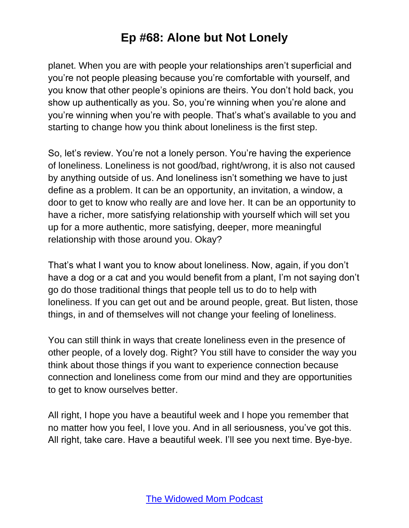planet. When you are with people your relationships aren't superficial and you're not people pleasing because you're comfortable with yourself, and you know that other people's opinions are theirs. You don't hold back, you show up authentically as you. So, you're winning when you're alone and you're winning when you're with people. That's what's available to you and starting to change how you think about loneliness is the first step.

So, let's review. You're not a lonely person. You're having the experience of loneliness. Loneliness is not good/bad, right/wrong, it is also not caused by anything outside of us. And loneliness isn't something we have to just define as a problem. It can be an opportunity, an invitation, a window, a door to get to know who really are and love her. It can be an opportunity to have a richer, more satisfying relationship with yourself which will set you up for a more authentic, more satisfying, deeper, more meaningful relationship with those around you. Okay?

That's what I want you to know about loneliness. Now, again, if you don't have a dog or a cat and you would benefit from a plant, I'm not saying don't go do those traditional things that people tell us to do to help with loneliness. If you can get out and be around people, great. But listen, those things, in and of themselves will not change your feeling of loneliness.

You can still think in ways that create loneliness even in the presence of other people, of a lovely dog. Right? You still have to consider the way you think about those things if you want to experience connection because connection and loneliness come from our mind and they are opportunities to get to know ourselves better.

All right, I hope you have a beautiful week and I hope you remember that no matter how you feel, I love you. And in all seriousness, you've got this. All right, take care. Have a beautiful week. I'll see you next time. Bye-bye.